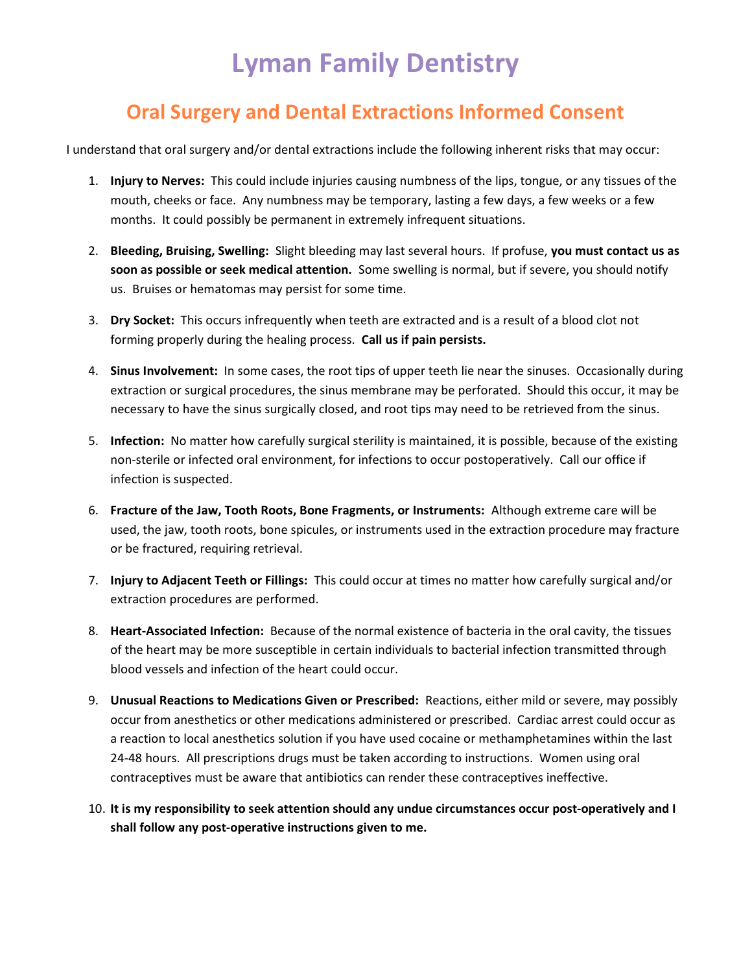## Lyman Family Dentistry

## Oral Surgery and Dental Extractions Informed Consent

I understand that oral surgery and/or dental extractions include the following inherent risks that may occur:

- 1. Injury to Nerves: This could include injuries causing numbness of the lips, tongue, or any tissues of the mouth, cheeks or face. Any numbness may be temporary, lasting a few days, a few weeks or a few months. It could possibly be permanent in extremely infrequent situations.
- 2. Bleeding, Bruising, Swelling: Slight bleeding may last several hours. If profuse, you must contact us as soon as possible or seek medical attention. Some swelling is normal, but if severe, you should notify us. Bruises or hematomas may persist for some time.
- 3. Dry Socket: This occurs infrequently when teeth are extracted and is a result of a blood clot not forming properly during the healing process. Call us if pain persists.
- 4. Sinus Involvement: In some cases, the root tips of upper teeth lie near the sinuses. Occasionally during extraction or surgical procedures, the sinus membrane may be perforated. Should this occur, it may be necessary to have the sinus surgically closed, and root tips may need to be retrieved from the sinus.
- 5. Infection: No matter how carefully surgical sterility is maintained, it is possible, because of the existing non-sterile or infected oral environment, for infections to occur postoperatively. Call our office if infection is suspected.
- 6. Fracture of the Jaw, Tooth Roots, Bone Fragments, or Instruments: Although extreme care will be used, the jaw, tooth roots, bone spicules, or instruments used in the extraction procedure may fracture or be fractured, requiring retrieval.
- 7. Injury to Adjacent Teeth or Fillings: This could occur at times no matter how carefully surgical and/or extraction procedures are performed.
- 8. Heart-Associated Infection: Because of the normal existence of bacteria in the oral cavity, the tissues of the heart may be more susceptible in certain individuals to bacterial infection transmitted through blood vessels and infection of the heart could occur.
- 9. Unusual Reactions to Medications Given or Prescribed: Reactions, either mild or severe, may possibly occur from anesthetics or other medications administered or prescribed. Cardiac arrest could occur as a reaction to local anesthetics solution if you have used cocaine or methamphetamines within the last 24-48 hours. All prescriptions drugs must be taken according to instructions. Women using oral contraceptives must be aware that antibiotics can render these contraceptives ineffective.
- 10. It is my responsibility to seek attention should any undue circumstances occur post-operatively and I shall follow any post-operative instructions given to me.